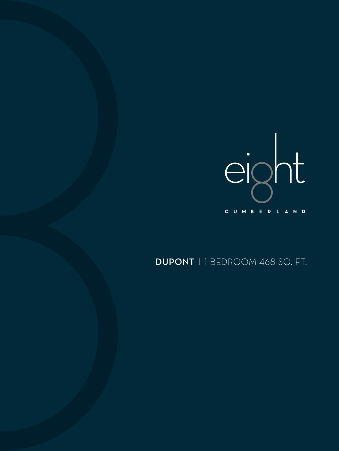

## DUPONT | 1 BEDROOM 468 SQ. FT.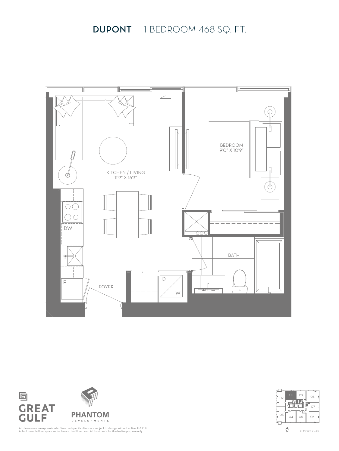



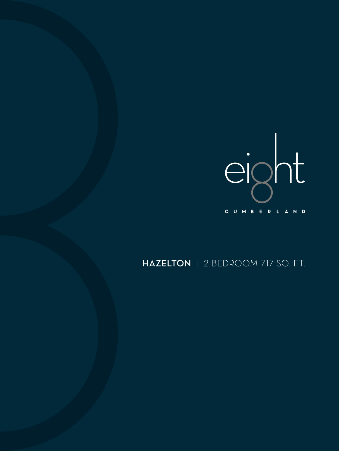

## HAZELTON | 2 BEDROOM 717 SQ. FT.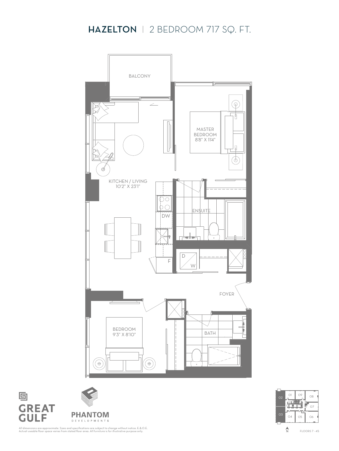## HAZELTON | 2 BEDROOM 717 SQ. FT.







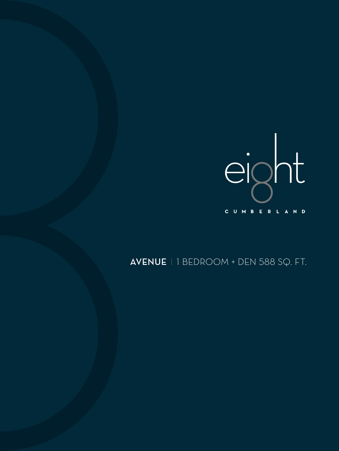

## AVENUE | BEDROOM + DEN 588 SQ. FT.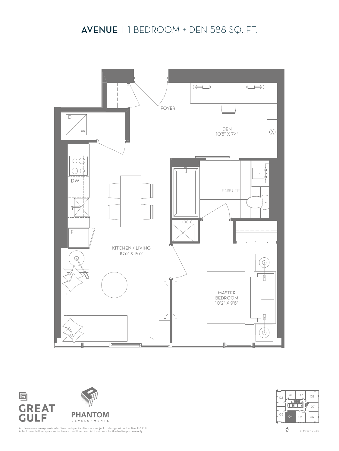### AVENUE 1 BEDROOM + DEN 588 SQ. FT.





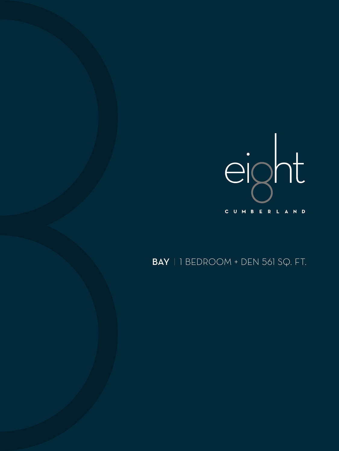

## BAY 1 BEDROOM + DEN 561 SQ. FT.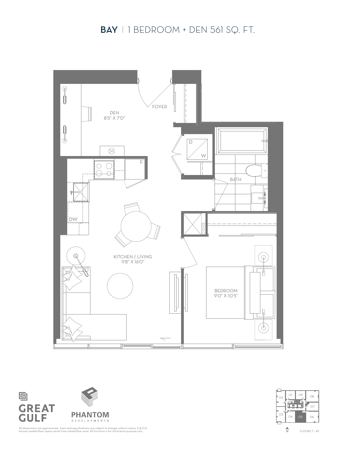### BAY 1 BEDROOM + DEN 561 SQ. FT.





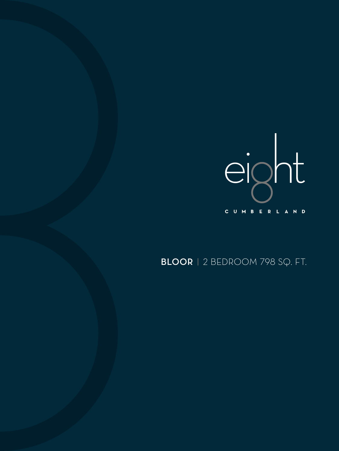

## BLOOR | 2 BEDROOM 798 SQ. FT.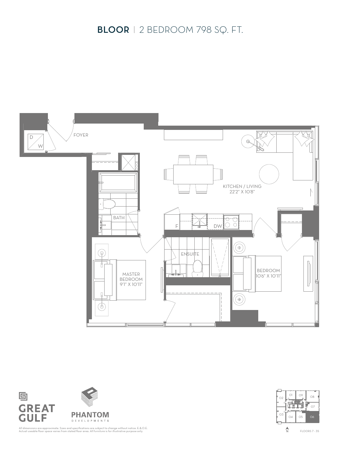### BLOOR | 2 BEDROOM 798 SQ. FT.







All dimensions are approximate. Sizes and specifications are subject to change without notice. E.&.O.E. Actual useable floor space varies from stated floor area. All furniture is for illustrative purpose only.

FLOORS 7 - 35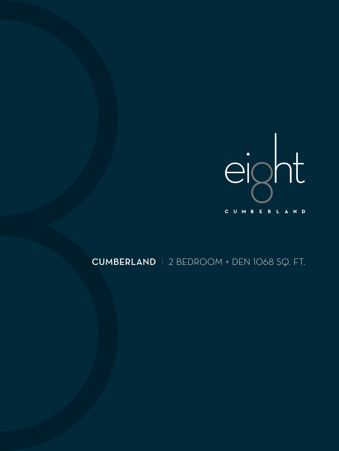

## CUMBERLAND 2 BEDROOM + DEN 1068 SQ. FT.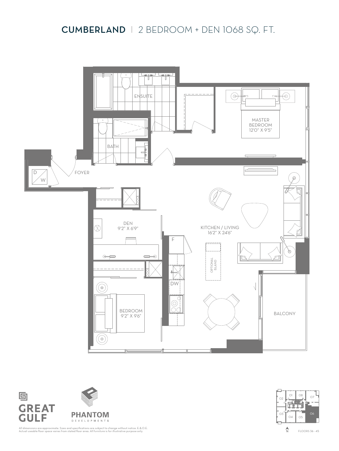### CUMBERLAND 2 BEDROOM + DEN 1068 SQ. FT.





画



All dimensions are approximate. Sizes and specifications are subject to change without notice. E.&.O.E. Actual useable floor space varies from stated floor area. All furniture is for illustrative purpose only.

FLOORS 36 - 45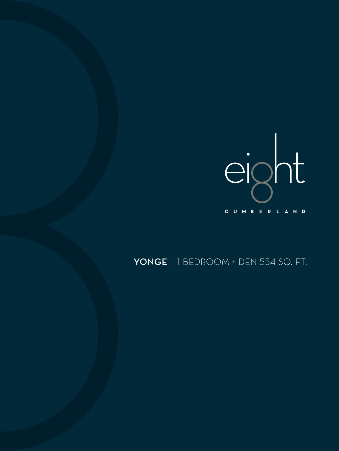

## YONGE | 1 BEDROOM + DEN 554 SQ. FT.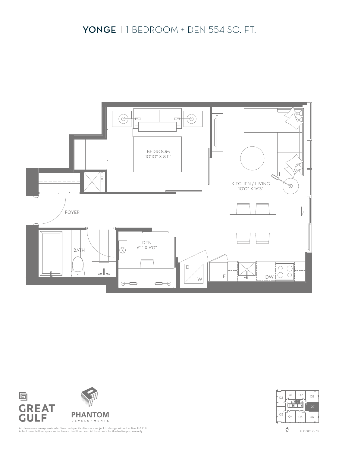## YONGE 1 BEDROOM + DEN 554 SQ. FT.







All dimensions are approximate. Sizes and specifications are subject to change without notice. E.&.O.E. Actual useable floor space varies from stated floor area. All furniture is for illustrative purpose only.

FLOORS 7 - 35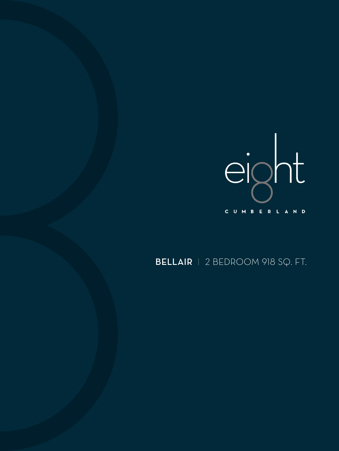

# BELLAIR 2 BEDROOM 918 SQ. FT.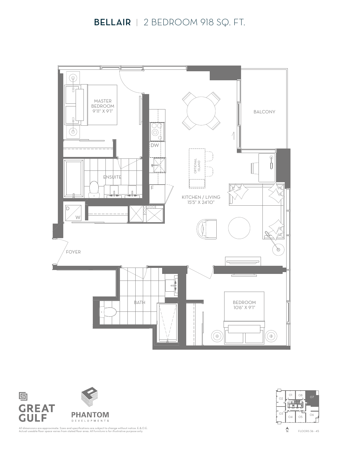#### BELLAIR | 2 BEDROOM 918 SQ. FT.





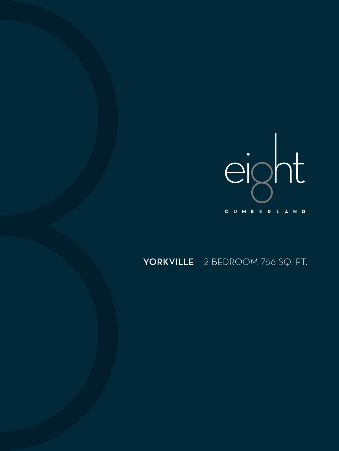

# YORKVILLE | 2 BEDROOM 766 SQ. FT.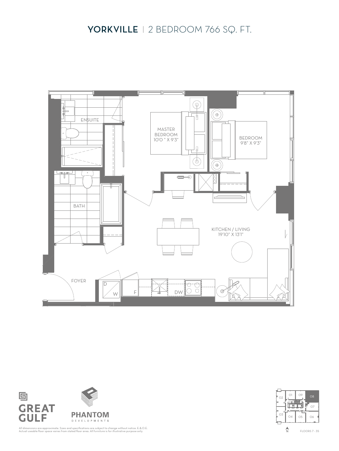



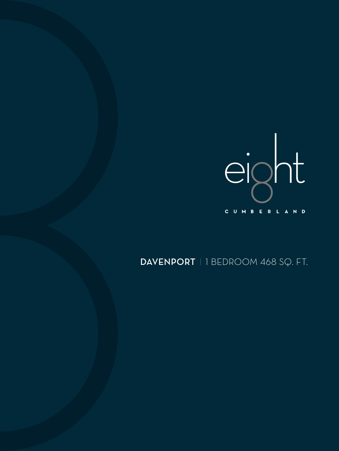

## DAVENPORT | 1 BEDROOM 468 SQ. FT.